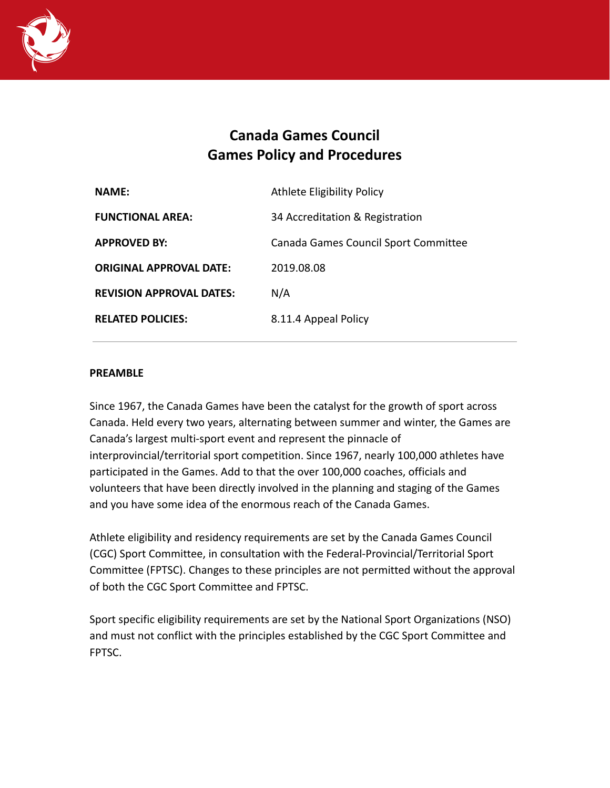

# **Canada Games Council Games Policy and Procedures**

| <b>NAME:</b>                    | Athlete Eligibility Policy           |
|---------------------------------|--------------------------------------|
| <b>FUNCTIONAL AREA:</b>         | 34 Accreditation & Registration      |
| <b>APPROVED BY:</b>             | Canada Games Council Sport Committee |
| <b>ORIGINAL APPROVAL DATE:</b>  | 2019.08.08                           |
| <b>REVISION APPROVAL DATES:</b> | N/A                                  |
| <b>RELATED POLICIES:</b>        | 8.11.4 Appeal Policy                 |

#### **PREAMBLE**

Since 1967, the Canada Games have been the catalyst for the growth of sport across Canada. Held every two years, alternating between summer and winter, the Games are Canada's largest multi-sport event and represent the pinnacle of interprovincial/territorial sport competition. Since 1967, nearly 100,000 athletes have participated in the Games. Add to that the over 100,000 coaches, officials and volunteers that have been directly involved in the planning and staging of the Games and you have some idea of the enormous reach of the Canada Games.

Athlete eligibility and residency requirements are set by the Canada Games Council (CGC) Sport Committee, in consultation with the Federal-Provincial/Territorial Sport Committee (FPTSC). Changes to these principles are not permitted without the approval of both the CGC Sport Committee and FPTSC.

Sport specific eligibility requirements are set by the National Sport Organizations (NSO) and must not conflict with the principles established by the CGC Sport Committee and FPTSC.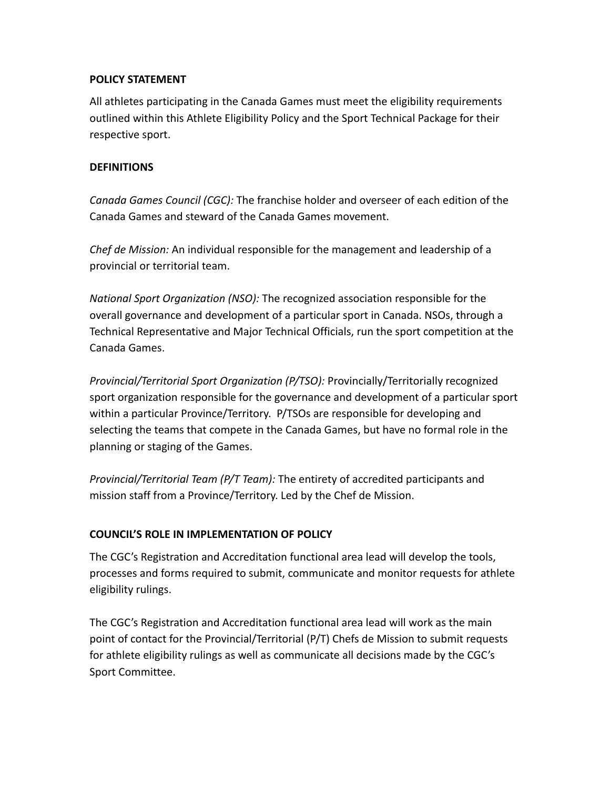## **POLICY STATEMENT**

All athletes participating in the Canada Games must meet the eligibility requirements outlined within this Athlete Eligibility Policy and the Sport Technical Package for their respective sport.

#### **DEFINITIONS**

*Canada Games Council (CGC):* The franchise holder and overseer of each edition of the Canada Games and steward of the Canada Games movement.

*Chef de Mission:* An individual responsible for the management and leadership of a provincial or territorial team.

*National Sport Organization (NSO):* The recognized association responsible for the overall governance and development of a particular sport in Canada. NSOs, through a Technical Representative and Major Technical Officials, run the sport competition at the Canada Games.

*Provincial/Territorial Sport Organization (P/TSO):* Provincially/Territorially recognized sport organization responsible for the governance and development of a particular sport within a particular Province/Territory. P/TSOs are responsible for developing and selecting the teams that compete in the Canada Games, but have no formal role in the planning or staging of the Games.

*Provincial/Territorial Team (P/T Team):* The entirety of accredited participants and mission staff from a Province/Territory. Led by the Chef de Mission.

## **COUNCIL'S ROLE IN IMPLEMENTATION OF POLICY**

The CGC's Registration and Accreditation functional area lead will develop the tools, processes and forms required to submit, communicate and monitor requests for athlete eligibility rulings.

The CGC's Registration and Accreditation functional area lead will work as the main point of contact for the Provincial/Territorial (P/T) Chefs de Mission to submit requests for athlete eligibility rulings as well as communicate all decisions made by the CGC's Sport Committee.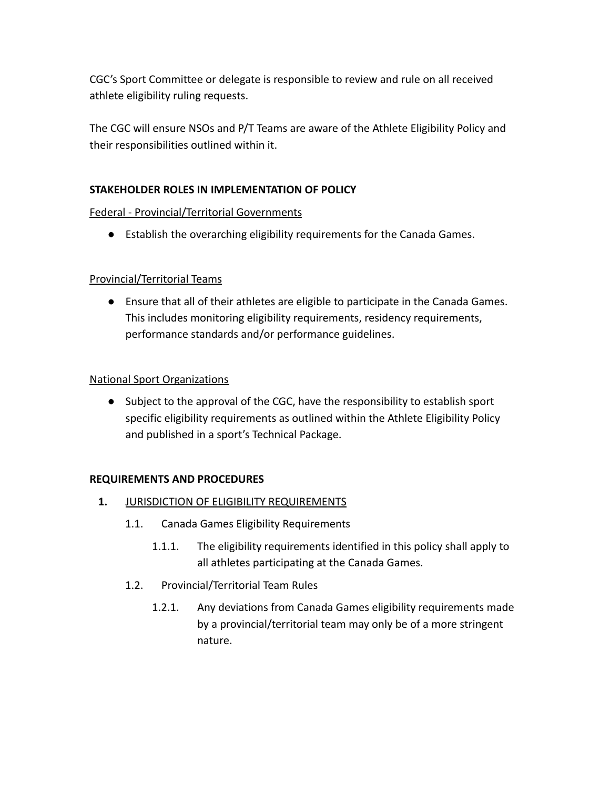CGC's Sport Committee or delegate is responsible to review and rule on all received athlete eligibility ruling requests.

The CGC will ensure NSOs and P/T Teams are aware of the Athlete Eligibility Policy and their responsibilities outlined within it.

# **STAKEHOLDER ROLES IN IMPLEMENTATION OF POLICY**

## Federal - Provincial/Territorial Governments

● Establish the overarching eligibility requirements for the Canada Games.

# Provincial/Territorial Teams

● Ensure that all of their athletes are eligible to participate in the Canada Games. This includes monitoring eligibility requirements, residency requirements, performance standards and/or performance guidelines.

## National Sport Organizations

● Subject to the approval of the CGC, have the responsibility to establish sport specific eligibility requirements as outlined within the Athlete Eligibility Policy and published in a sport's Technical Package.

## **REQUIREMENTS AND PROCEDURES**

- **1.** JURISDICTION OF ELIGIBILITY REQUIREMENTS
	- 1.1. Canada Games Eligibility Requirements
		- 1.1.1. The eligibility requirements identified in this policy shall apply to all athletes participating at the Canada Games.
	- 1.2. Provincial/Territorial Team Rules
		- 1.2.1. Any deviations from Canada Games eligibility requirements made by a provincial/territorial team may only be of a more stringent nature.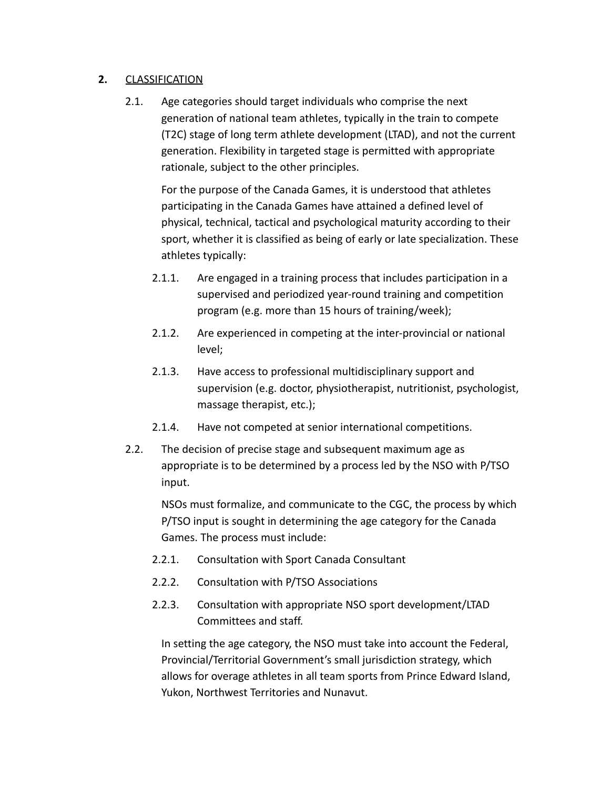## **2.** CLASSIFICATION

2.1. Age categories should target individuals who comprise the next generation of national team athletes, typically in the train to compete (T2C) stage of long term athlete development (LTAD), and not the current generation. Flexibility in targeted stage is permitted with appropriate rationale, subject to the other principles.

For the purpose of the Canada Games, it is understood that athletes participating in the Canada Games have attained a defined level of physical, technical, tactical and psychological maturity according to their sport, whether it is classified as being of early or late specialization. These athletes typically:

- 2.1.1. Are engaged in a training process that includes participation in a supervised and periodized year-round training and competition program (e.g. more than 15 hours of training/week);
- 2.1.2. Are experienced in competing at the inter-provincial or national level;
- 2.1.3. Have access to professional multidisciplinary support and supervision (e.g. doctor, physiotherapist, nutritionist, psychologist, massage therapist, etc.);
- 2.1.4. Have not competed at senior international competitions.
- 2.2. The decision of precise stage and subsequent maximum age as appropriate is to be determined by a process led by the NSO with P/TSO input.

NSOs must formalize, and communicate to the CGC, the process by which P/TSO input is sought in determining the age category for the Canada Games. The process must include:

- 2.2.1. Consultation with Sport Canada Consultant
- 2.2.2. Consultation with P/TSO Associations
- 2.2.3. Consultation with appropriate NSO sport development/LTAD Committees and staff.

In setting the age category, the NSO must take into account the Federal, Provincial/Territorial Government's small jurisdiction strategy, which allows for overage athletes in all team sports from Prince Edward Island, Yukon, Northwest Territories and Nunavut.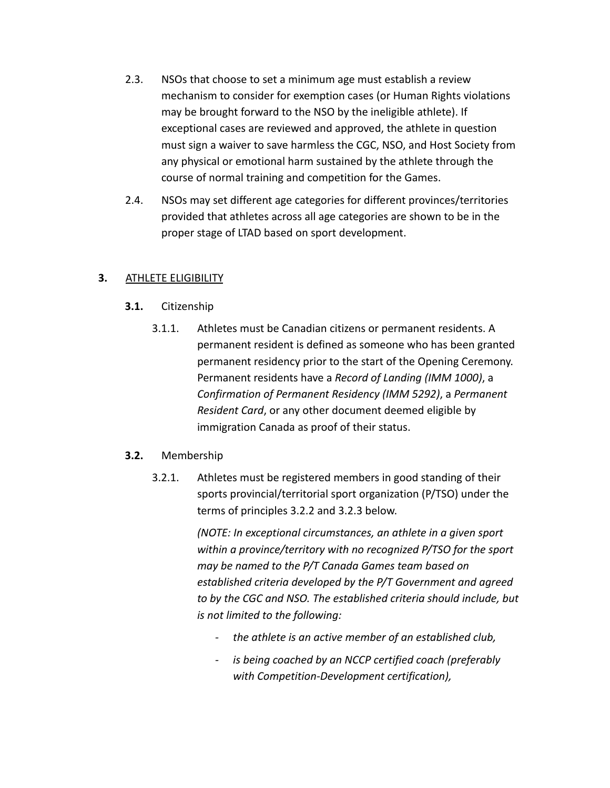- 2.3. NSOs that choose to set a minimum age must establish a review mechanism to consider for exemption cases (or Human Rights violations may be brought forward to the NSO by the ineligible athlete). If exceptional cases are reviewed and approved, the athlete in question must sign a waiver to save harmless the CGC, NSO, and Host Society from any physical or emotional harm sustained by the athlete through the course of normal training and competition for the Games.
- 2.4. NSOs may set different age categories for different provinces/territories provided that athletes across all age categories are shown to be in the proper stage of LTAD based on sport development.

#### **3.** ATHLETE ELIGIBILITY

- **3.1.** Citizenship
	- 3.1.1. Athletes must be Canadian citizens or permanent residents. A permanent resident is defined as someone who has been granted permanent residency prior to the start of the Opening Ceremony. Permanent residents have a *Record of Landing (IMM 1000)*, a *Confirmation of Permanent Residency (IMM 5292)*, a *Permanent Resident Card*, or any other document deemed eligible by immigration Canada as proof of their status.

#### **3.2.** Membership

3.2.1. Athletes must be registered members in good standing of their sports provincial/territorial sport organization (P/TSO) under the terms of principles 3.2.2 and 3.2.3 below.

> *(NOTE: In exceptional circumstances, an athlete in a given sport within a province/territory with no recognized P/TSO for the sport may be named to the P/T Canada Games team based on established criteria developed by the P/T Government and agreed to by the CGC and NSO. The established criteria should include, but is not limited to the following:*

- *- the athlete is an active member of an established club,*
- *- is being coached by an NCCP certified coach (preferably with Competition-Development certification),*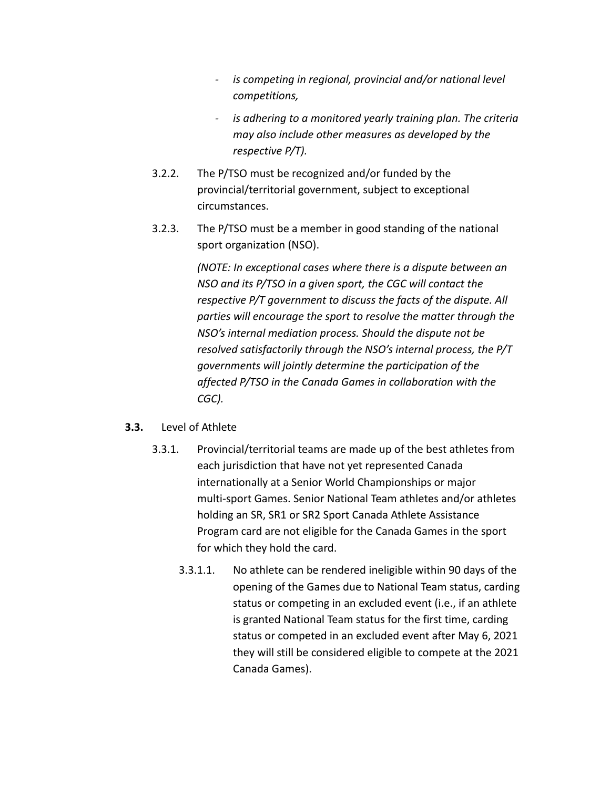- *- is competing in regional, provincial and/or national level competitions,*
- *- is adhering to a monitored yearly training plan. The criteria may also include other measures as developed by the respective P/T).*
- 3.2.2. The P/TSO must be recognized and/or funded by the provincial/territorial government, subject to exceptional circumstances.
- 3.2.3. The P/TSO must be a member in good standing of the national sport organization (NSO).

*(NOTE: In exceptional cases where there is a dispute between an NSO and its P/TSO in a given sport, the CGC will contact the respective P/T government to discuss the facts of the dispute. All parties will encourage the sport to resolve the matter through the NSO's internal mediation process. Should the dispute not be resolved satisfactorily through the NSO's internal process, the P/T governments will jointly determine the participation of the affected P/TSO in the Canada Games in collaboration with the CGC).*

#### **3.3.** Level of Athlete

- 3.3.1. Provincial/territorial teams are made up of the best athletes from each jurisdiction that have not yet represented Canada internationally at a Senior World Championships or major multi-sport Games. Senior National Team athletes and/or athletes holding an SR, SR1 or SR2 Sport Canada Athlete Assistance Program card are not eligible for the Canada Games in the sport for which they hold the card.
	- 3.3.1.1. No athlete can be rendered ineligible within 90 days of the opening of the Games due to National Team status, carding status or competing in an excluded event (i.e., if an athlete is granted National Team status for the first time, carding status or competed in an excluded event after May 6, 2021 they will still be considered eligible to compete at the 2021 Canada Games).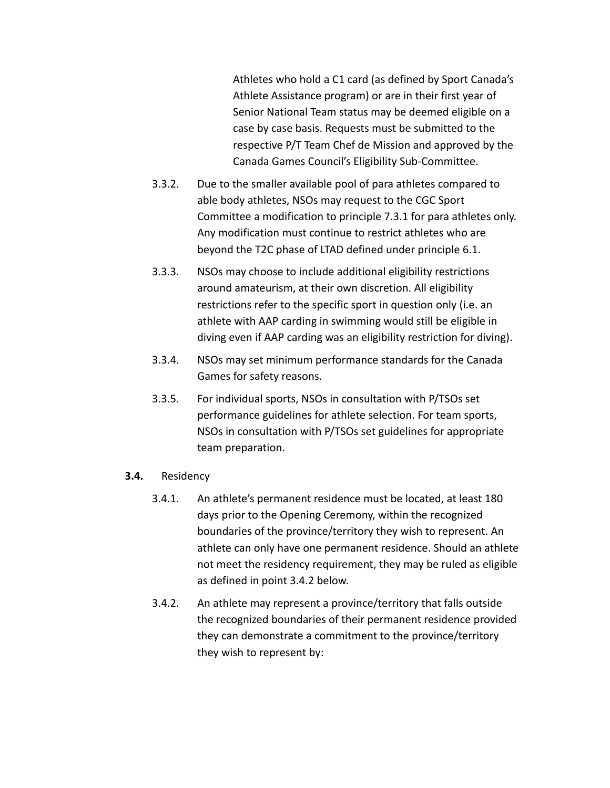Athletes who hold a C1 card (as defined by Sport Canada's Athlete Assistance program) or are in their first year of Senior National Team status may be deemed eligible on a case by case basis. Requests must be submitted to the respective P/T Team Chef de Mission and approved by the Canada Games Council's Eligibility Sub-Committee.

- 3.3.2. Due to the smaller available pool of para athletes compared to able body athletes, NSOs may request to the CGC Sport Committee a modification to principle 7.3.1 for para athletes only. Any modification must continue to restrict athletes who are beyond the T2C phase of LTAD defined under principle 6.1.
- 3.3.3. NSOs may choose to include additional eligibility restrictions around amateurism, at their own discretion. All eligibility restrictions refer to the specific sport in question only (i.e. an athlete with AAP carding in swimming would still be eligible in diving even if AAP carding was an eligibility restriction for diving).
- 3.3.4. NSOs may set minimum performance standards for the Canada Games for safety reasons.
- 3.3.5. For individual sports, NSOs in consultation with P/TSOs set performance guidelines for athlete selection. For team sports, NSOs in consultation with P/TSOs set guidelines for appropriate team preparation.
- **3.4.** Residency
	- 3.4.1. An athlete's permanent residence must be located, at least 180 days prior to the Opening Ceremony, within the recognized boundaries of the province/territory they wish to represent. An athlete can only have one permanent residence. Should an athlete not meet the residency requirement, they may be ruled as eligible as defined in point 3.4.2 below.
	- 3.4.2. An athlete may represent a province/territory that falls outside the recognized boundaries of their permanent residence provided they can demonstrate a commitment to the province/territory they wish to represent by: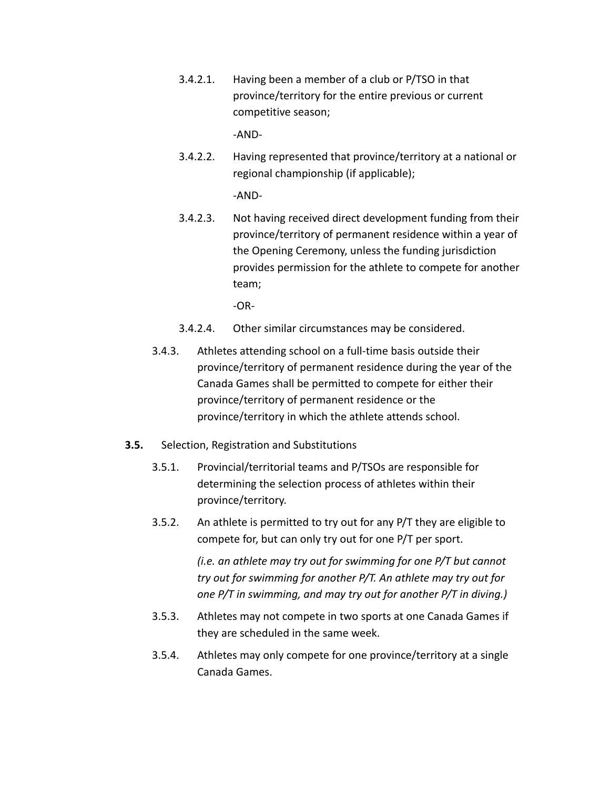3.4.2.1. Having been a member of a club or P/TSO in that province/territory for the entire previous or current competitive season;

-AND-

3.4.2.2. Having represented that province/territory at a national or regional championship (if applicable);

-AND-

3.4.2.3. Not having received direct development funding from their province/territory of permanent residence within a year of the Opening Ceremony, unless the funding jurisdiction provides permission for the athlete to compete for another team;

-OR-

- 3.4.2.4. Other similar circumstances may be considered.
- 3.4.3. Athletes attending school on a full-time basis outside their province/territory of permanent residence during the year of the Canada Games shall be permitted to compete for either their province/territory of permanent residence or the province/territory in which the athlete attends school.
- **3.5.** Selection, Registration and Substitutions
	- 3.5.1. Provincial/territorial teams and P/TSOs are responsible for determining the selection process of athletes within their province/territory.
	- 3.5.2. An athlete is permitted to try out for any P/T they are eligible to compete for, but can only try out for one P/T per sport.

*(i.e. an athlete may try out for swimming for one P/T but cannot try out for swimming for another P/T. An athlete may try out for one P/T in swimming, and may try out for another P/T in diving.)*

- 3.5.3. Athletes may not compete in two sports at one Canada Games if they are scheduled in the same week.
- 3.5.4. Athletes may only compete for one province/territory at a single Canada Games.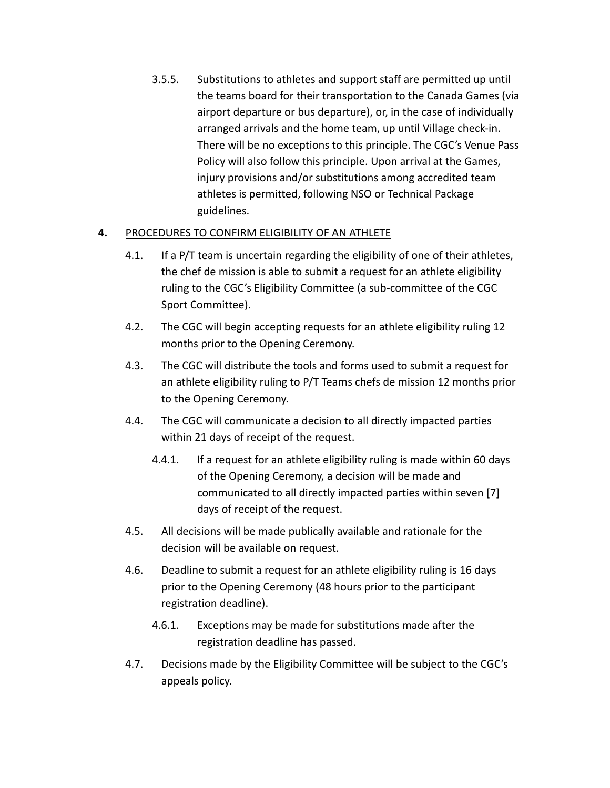3.5.5. Substitutions to athletes and support staff are permitted up until the teams board for their transportation to the Canada Games (via airport departure or bus departure), or, in the case of individually arranged arrivals and the home team, up until Village check-in. There will be no exceptions to this principle. The CGC's Venue Pass Policy will also follow this principle. Upon arrival at the Games, injury provisions and/or substitutions among accredited team athletes is permitted, following NSO or Technical Package guidelines.

# **4.** PROCEDURES TO CONFIRM ELIGIBILITY OF AN ATHLETE

- 4.1. If a P/T team is uncertain regarding the eligibility of one of their athletes, the chef de mission is able to submit a request for an athlete eligibility ruling to the CGC's Eligibility Committee (a sub-committee of the CGC Sport Committee).
- 4.2. The CGC will begin accepting requests for an athlete eligibility ruling 12 months prior to the Opening Ceremony.
- 4.3. The CGC will distribute the tools and forms used to submit a request for an athlete eligibility ruling to P/T Teams chefs de mission 12 months prior to the Opening Ceremony.
- 4.4. The CGC will communicate a decision to all directly impacted parties within 21 days of receipt of the request.
	- 4.4.1. If a request for an athlete eligibility ruling is made within 60 days of the Opening Ceremony, a decision will be made and communicated to all directly impacted parties within seven [7] days of receipt of the request.
- 4.5. All decisions will be made publically available and rationale for the decision will be available on request.
- 4.6. Deadline to submit a request for an athlete eligibility ruling is 16 days prior to the Opening Ceremony (48 hours prior to the participant registration deadline).
	- 4.6.1. Exceptions may be made for substitutions made after the registration deadline has passed.
- 4.7. Decisions made by the Eligibility Committee will be subject to the CGC's appeals policy.